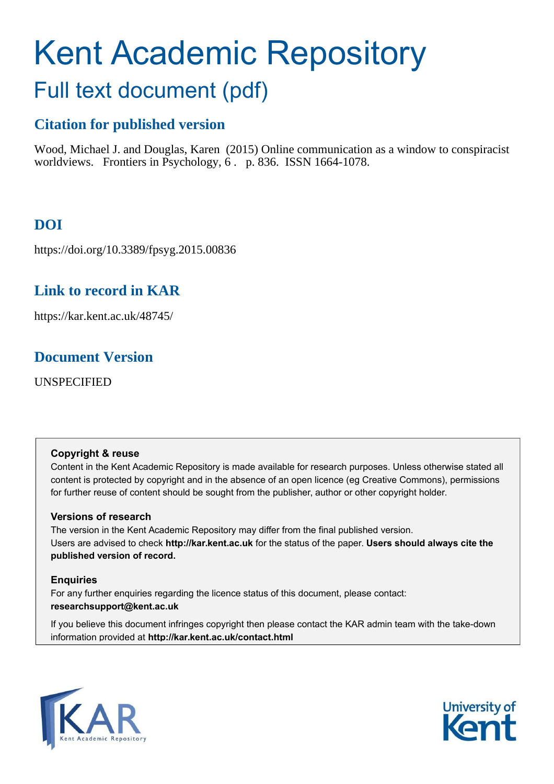# Kent Academic Repository

# Full text document (pdf)

# **Citation for published version**

Wood, Michael J. and Douglas, Karen (2015) Online communication as a window to conspiracist worldviews. Frontiers in Psychology, 6. p. 836. ISSN 1664-1078.

# **DOI**

https://doi.org/10.3389/fpsyg.2015.00836

# **Link to record in KAR**

https://kar.kent.ac.uk/48745/

# **Document Version**

UNSPECIFIED

# **Copyright & reuse**

Content in the Kent Academic Repository is made available for research purposes. Unless otherwise stated all content is protected by copyright and in the absence of an open licence (eg Creative Commons), permissions for further reuse of content should be sought from the publisher, author or other copyright holder.

# **Versions of research**

The version in the Kent Academic Repository may differ from the final published version. Users are advised to check **http://kar.kent.ac.uk** for the status of the paper. **Users should always cite the published version of record.**

# **Enquiries**

For any further enquiries regarding the licence status of this document, please contact: **researchsupport@kent.ac.uk**

If you believe this document infringes copyright then please contact the KAR admin team with the take-down information provided at **http://kar.kent.ac.uk/contact.html**



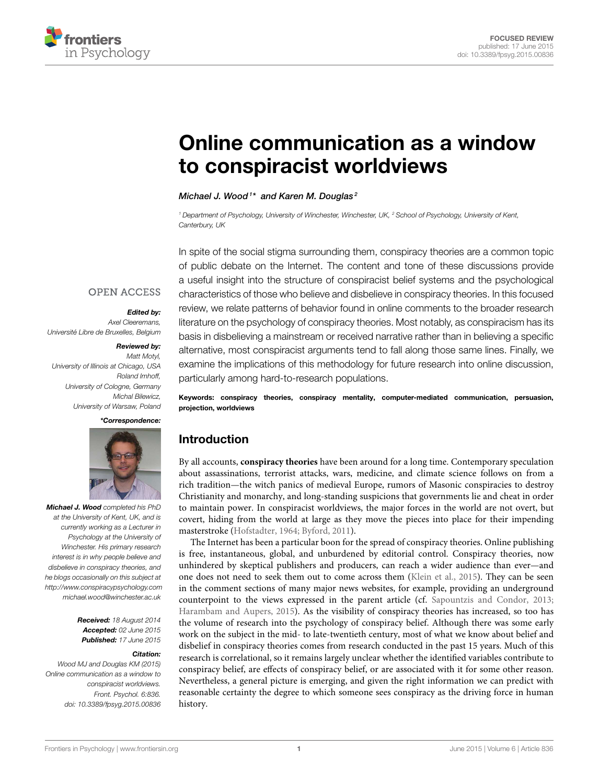

# [Online communication as a window](http://journal.frontiersin.org/article/10.3389/fpsyg.2015.00836/abstract) to conspiracist worldviews

#### [Michael J. Wood](http://community.frontiersin.org/people/u/56175)<sup>1\*</sup> and [Karen M. Douglas](http://community.frontiersin.org/people/u/76490)<sup>2</sup>

<sup>1</sup> Department of Psychology, University of Winchester, Winchester, UK, <sup>2</sup> School of Psychology, University of Kent, Canterbury, UK

In spite of the social stigma surrounding them, conspiracy theories are a common topic of public debate on the Internet. The content and tone of these discussions provide a useful insight into the structure of conspiracist belief systems and the psychological characteristics of those who believe and disbelieve in conspiracy theories. In this focused review, we relate patterns of behavior found in online comments to the broader research literature on the psychology of conspiracy theories. Most notably, as conspiracism has its basis in disbelieving a mainstream or received narrative rather than in believing a specific alternative, most conspiracist arguments tend to fall along those same lines. Finally, we examine the implications of this methodology for future research into online discussion, particularly among hard-to-research populations.

Keywords: conspiracy theories, conspiracy mentality, computer-mediated communication, persuasion, projection, worldviews

# Introduction

By all accounts, **conspiracy theories** have been around for a long time. Contemporary speculation about assassinations, terrorist attacks, wars, medicine, and climate science follows on from a rich tradition—the witch panics of medieval Europe, rumors of Masonic conspiracies to destroy Christianity and monarchy, and long-standing suspicions that governments lie and cheat in order to maintain power. In conspiracist worldviews, the major forces in the world are not overt, but covert, hiding from the world at large as they move the pieces into place for their impending masterstroke [\(Hofstadter, 1964;](#page-6-0) [Byford, 2011\)](#page-6-1).

The Internet has been a particular boon for the spread of conspiracy theories. Online publishing is free, instantaneous, global, and unburdened by editorial control. Conspiracy theories, now unhindered by skeptical publishers and producers, can reach a wider audience than ever—and one does not need to seek them out to come across them [\(Klein et al., 2015\)](#page-7-0). They can be seen in the comment sections of many major news websites, for example, providing an underground counterpoint to the views expressed in the parent article (cf. [Sapountzis and Condor, 2013;](#page-7-1) [Harambam and Aupers, 2015\)](#page-6-2). As the visibility of conspiracy theories has increased, so too has the volume of research into the psychology of conspiracy belief. Although there was some early work on the subject in the mid- to late-twentieth century, most of what we know about belief and disbelief in conspiracy theories comes from research conducted in the past 15 years. Much of this research is correlational, so it remains largely unclear whether the identified variables contribute to conspiracy belief, are effects of conspiracy belief, or are associated with it for some other reason. Nevertheless, a general picture is emerging, and given the right information we can predict with reasonable certainty the degree to which someone sees conspiracy as the driving force in human history.

### **OPEN ACCESS**

#### *Edited by:*

Axel Cleeremans, Université Libre de Bruxelles, Belgium

#### *Reviewed by:*

Matt Motyl, University of Illinois at Chicago, USA Roland Imhoff, University of Cologne, Germany Michal Bilewicz, University of Warsaw, Poland

#### *\*Correspondence:*



*Michael J. Wood* completed his PhD at the University of Kent, UK, and is currently working as a Lecturer in Psychology at the University of Winchester. His primary research interest is in why people believe and disbelieve in conspiracy theories, and he blogs occasionally on this subject at <http://www.conspiracypsychology.com> [michael.wood@winchester.ac.uk](mailto:michael.wood@winchester.ac.uk)

> *Received:* 18 August 2014 *Accepted:* 02 June 2015 *Published:* 17 June 2015

#### *Citation:*

Wood MJ and Douglas KM (2015) Online communication as a window to conspiracist worldviews. Front. Psychol. 6:836. doi: [10.3389/fpsyg.2015.00836](http://dx.doi.org/10.3389/fpsyg.2015.00836)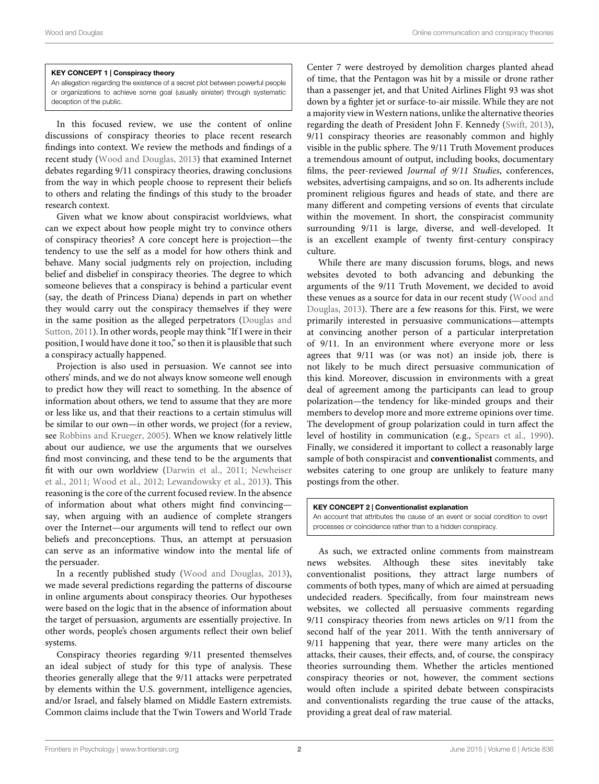#### KEY CONCEPT 1 | Conspiracy theory

An allegation regarding the existence of a secret plot between powerful people or organizations to achieve some goal (usually sinister) through systematic deception of the public.

In this focused review, we use the content of online discussions of conspiracy theories to place recent research findings into context. We review the methods and findings of a recent study [\(Wood and Douglas, 2013\)](#page-7-2) that examined Internet debates regarding 9/11 conspiracy theories, drawing conclusions from the way in which people choose to represent their beliefs to others and relating the findings of this study to the broader research context.

Given what we know about conspiracist worldviews, what can we expect about how people might try to convince others of conspiracy theories? A core concept here is projection—the tendency to use the self as a model for how others think and behave. Many social judgments rely on projection, including belief and disbelief in conspiracy theories. The degree to which someone believes that a conspiracy is behind a particular event (say, the death of Princess Diana) depends in part on whether they would carry out the conspiracy themselves if they were in the same position as the alleged perpetrators (Douglas and Sutton, [2011\)](#page-6-3). In other words, people may think "If I were in their position, I would have done it too," so then it is plausible that such a conspiracy actually happened.

Projection is also used in persuasion. We cannot see into others' minds, and we do not always know someone well enough to predict how they will react to something. In the absence of information about others, we tend to assume that they are more or less like us, and that their reactions to a certain stimulus will be similar to our own—in other words, we project (for a review, see [Robbins and Krueger, 2005\)](#page-7-3). When we know relatively little about our audience, we use the arguments that we ourselves find most convincing, and these tend to be the arguments that fit with our own worldview [\(Darwin et al., 2011;](#page-6-4) Newheiser et al., [2011;](#page-7-4) [Wood et al., 2012;](#page-7-5) [Lewandowsky et al., 2013\)](#page-7-6). This reasoning is the core of the current focused review. In the absence of information about what others might find convincing say, when arguing with an audience of complete strangers over the Internet—our arguments will tend to reflect our own beliefs and preconceptions. Thus, an attempt at persuasion can serve as an informative window into the mental life of the persuader.

In a recently published study [\(Wood and Douglas, 2013\)](#page-7-2), we made several predictions regarding the patterns of discourse in online arguments about conspiracy theories. Our hypotheses were based on the logic that in the absence of information about the target of persuasion, arguments are essentially projective. In other words, people's chosen arguments reflect their own belief systems.

Conspiracy theories regarding 9/11 presented themselves an ideal subject of study for this type of analysis. These theories generally allege that the 9/11 attacks were perpetrated by elements within the U.S. government, intelligence agencies, and/or Israel, and falsely blamed on Middle Eastern extremists. Common claims include that the Twin Towers and World Trade Center 7 were destroyed by demolition charges planted ahead of time, that the Pentagon was hit by a missile or drone rather than a passenger jet, and that United Airlines Flight 93 was shot down by a fighter jet or surface-to-air missile. While they are not a majority view in Western nations, unlike the alternative theories regarding the death of President John F. Kennedy [\(Swift, 2013\)](#page-7-7), 9/11 conspiracy theories are reasonably common and highly visible in the public sphere. The 9/11 Truth Movement produces a tremendous amount of output, including books, documentary films, the peer-reviewed Journal of 9/11 Studies, conferences, websites, advertising campaigns, and so on. Its adherents include prominent religious figures and heads of state, and there are many different and competing versions of events that circulate within the movement. In short, the conspiracist community surrounding 9/11 is large, diverse, and well-developed. It is an excellent example of twenty first-century conspiracy culture.

While there are many discussion forums, blogs, and news websites devoted to both advancing and debunking the arguments of the 9/11 Truth Movement, we decided to avoid these venues as a source for data in our recent study (Wood and Douglas, [2013\)](#page-7-2). There are a few reasons for this. First, we were primarily interested in persuasive communications—attempts at convincing another person of a particular interpretation of 9/11. In an environment where everyone more or less agrees that 9/11 was (or was not) an inside job, there is not likely to be much direct persuasive communication of this kind. Moreover, discussion in environments with a great deal of agreement among the participants can lead to group polarization—the tendency for like-minded groups and their members to develop more and more extreme opinions over time. The development of group polarization could in turn affect the level of hostility in communication (e.g., [Spears et al., 1990\)](#page-7-8). Finally, we considered it important to collect a reasonably large sample of both conspiracist and **conventionalist** comments, and websites catering to one group are unlikely to feature many postings from the other.

KEY CONCEPT 2 | Conventionalist explanation An account that attributes the cause of an event or social condition to overt processes or coincidence rather than to a hidden conspiracy.

As such, we extracted online comments from mainstream news websites. Although these sites inevitably take conventionalist positions, they attract large numbers of comments of both types, many of which are aimed at persuading undecided readers. Specifically, from four mainstream news websites, we collected all persuasive comments regarding 9/11 conspiracy theories from news articles on 9/11 from the second half of the year 2011. With the tenth anniversary of 9/11 happening that year, there were many articles on the attacks, their causes, their effects, and, of course, the conspiracy theories surrounding them. Whether the articles mentioned conspiracy theories or not, however, the comment sections would often include a spirited debate between conspiracists and conventionalists regarding the true cause of the attacks, providing a great deal of raw material.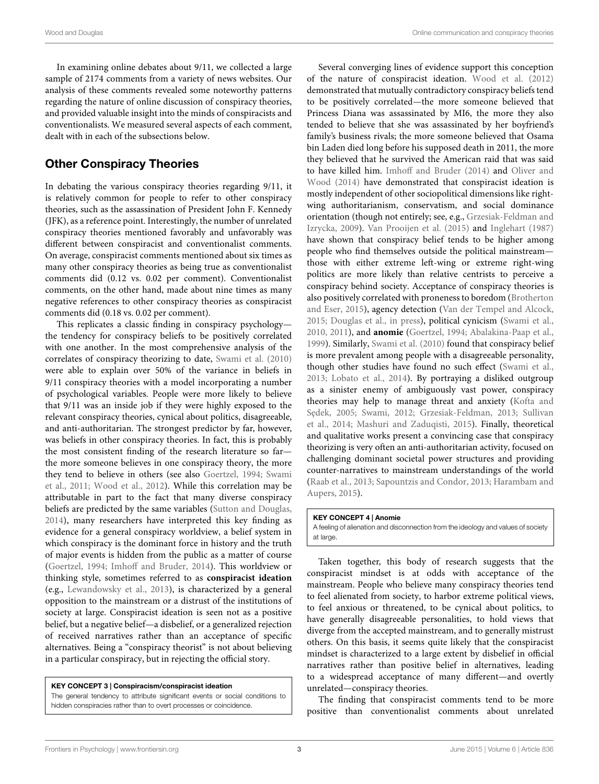In examining online debates about 9/11, we collected a large sample of 2174 comments from a variety of news websites. Our analysis of these comments revealed some noteworthy patterns regarding the nature of online discussion of conspiracy theories, and provided valuable insight into the minds of conspiracists and conventionalists. We measured several aspects of each comment, dealt with in each of the subsections below.

## Other Conspiracy Theories

In debating the various conspiracy theories regarding 9/11, it is relatively common for people to refer to other conspiracy theories, such as the assassination of President John F. Kennedy (JFK), as a reference point. Interestingly, the number of unrelated conspiracy theories mentioned favorably and unfavorably was different between conspiracist and conventionalist comments. On average, conspiracist comments mentioned about six times as many other conspiracy theories as being true as conventionalist comments did (0.12 vs. 0.02 per comment). Conventionalist comments, on the other hand, made about nine times as many negative references to other conspiracy theories as conspiracist comments did (0.18 vs. 0.02 per comment).

This replicates a classic finding in conspiracy psychology the tendency for conspiracy beliefs to be positively correlated with one another. In the most comprehensive analysis of the correlates of conspiracy theorizing to date, [Swami et al. \(2010\)](#page-7-9) were able to explain over 50% of the variance in beliefs in 9/11 conspiracy theories with a model incorporating a number of psychological variables. People were more likely to believe that 9/11 was an inside job if they were highly exposed to the relevant conspiracy theories, cynical about politics, disagreeable, and anti-authoritarian. The strongest predictor by far, however, was beliefs in other conspiracy theories. In fact, this is probably the most consistent finding of the research literature so far the more someone believes in one conspiracy theory, the more they tend to believe in others (see also [Goertzel, 1994;](#page-6-5) Swami et al., [2011;](#page-7-10) [Wood et al., 2012\)](#page-7-5). While this correlation may be attributable in part to the fact that many diverse conspiracy beliefs are predicted by the same variables [\(Sutton and Douglas,](#page-7-11) [2014\)](#page-7-11), many researchers have interpreted this key finding as evidence for a general conspiracy worldview, a belief system in which conspiracy is the dominant force in history and the truth of major events is hidden from the public as a matter of course [\(Goertzel, 1994;](#page-6-5) [Imhoff and Bruder, 2014\)](#page-7-12). This worldview or thinking style, sometimes referred to as **conspiracist ideation** (e.g., [Lewandowsky et al., 2013\)](#page-7-6), is characterized by a general opposition to the mainstream or a distrust of the institutions of society at large. Conspiracist ideation is seen not as a positive belief, but a negative belief—a disbelief, or a generalized rejection of received narratives rather than an acceptance of specific alternatives. Being a "conspiracy theorist" is not about believing in a particular conspiracy, but in rejecting the official story.

#### KEY CONCEPT 3 | Conspiracism/conspiracist ideation

The general tendency to attribute significant events or social conditions to hidden conspiracies rather than to overt processes or coincidence.

Several converging lines of evidence support this conception of the nature of conspiracist ideation. [Wood et al. \(2012\)](#page-7-5) demonstrated that mutually contradictory conspiracy beliefs tend to be positively correlated—the more someone believed that Princess Diana was assassinated by MI6, the more they also tended to believe that she was assassinated by her boyfriend's family's business rivals; the more someone believed that Osama bin Laden died long before his supposed death in 2011, the more they believed that he survived the American raid that was said to have killed him. [Imhoff and Bruder \(2014\)](#page-7-12) and Oliver and Wood [\(2014\)](#page-7-13) have demonstrated that conspiracist ideation is mostly independent of other sociopolitical dimensions like rightwing authoritarianism, conservatism, and social dominance orientation (though not entirely; see, e.g., Grzesiak-Feldman and Izrycka, [2009\)](#page-6-6). [Van Prooijen et al. \(2015\)](#page-7-14) and [Inglehart \(1987\)](#page-7-15) have shown that conspiracy belief tends to be higher among people who find themselves outside the political mainstream those with either extreme left-wing or extreme right-wing politics are more likely than relative centrists to perceive a conspiracy behind society. Acceptance of conspiracy theories is also positively correlated with proneness to boredom (Brotherton and Eser, [2015\)](#page-6-7), agency detection [\(Van der Tempel and Alcock,](#page-7-16) [2015;](#page-7-16) [Douglas et al., in press\)](#page-6-8), political cynicism [\(Swami et al.,](#page-7-9) [2010,](#page-7-9) [2011\)](#page-7-10), and **anomie** [\(Goertzel, 1994;](#page-6-5) [Abalakina-Paap et al.,](#page-6-9) [1999\)](#page-6-9). Similarly, [Swami et al. \(2010\)](#page-7-9) found that conspiracy belief is more prevalent among people with a disagreeable personality, though other studies have found no such effect [\(Swami et al.,](#page-7-17) [2013;](#page-7-17) [Lobato et al., 2014\)](#page-7-18). By portraying a disliked outgroup as a sinister enemy of ambiguously vast power, conspiracy theories may help to manage threat and anxiety (Kofta and Sędek, [2005;](#page-7-19) [Swami, 2012;](#page-7-20) [Grzesiak-Feldman, 2013;](#page-6-10) Sullivan et al., [2014;](#page-7-21) [Mashuri and Zaduqisti, 2015\)](#page-7-22). Finally, theoretical and qualitative works present a convincing case that conspiracy theorizing is very often an anti-authoritarian activity, focused on challenging dominant societal power structures and providing counter-narratives to mainstream understandings of the world [\(Raab et al., 2013;](#page-7-23) [Sapountzis and Condor, 2013;](#page-7-1) Harambam and Aupers, [2015\)](#page-6-2).

#### KEY CONCEPT 4 | Anomie

A feeling of alienation and disconnection from the ideology and values of society at large.

Taken together, this body of research suggests that the conspiracist mindset is at odds with acceptance of the mainstream. People who believe many conspiracy theories tend to feel alienated from society, to harbor extreme political views, to feel anxious or threatened, to be cynical about politics, to have generally disagreeable personalities, to hold views that diverge from the accepted mainstream, and to generally mistrust others. On this basis, it seems quite likely that the conspiracist mindset is characterized to a large extent by disbelief in official narratives rather than positive belief in alternatives, leading to a widespread acceptance of many different—and overtly unrelated—conspiracy theories.

The finding that conspiracist comments tend to be more positive than conventionalist comments about unrelated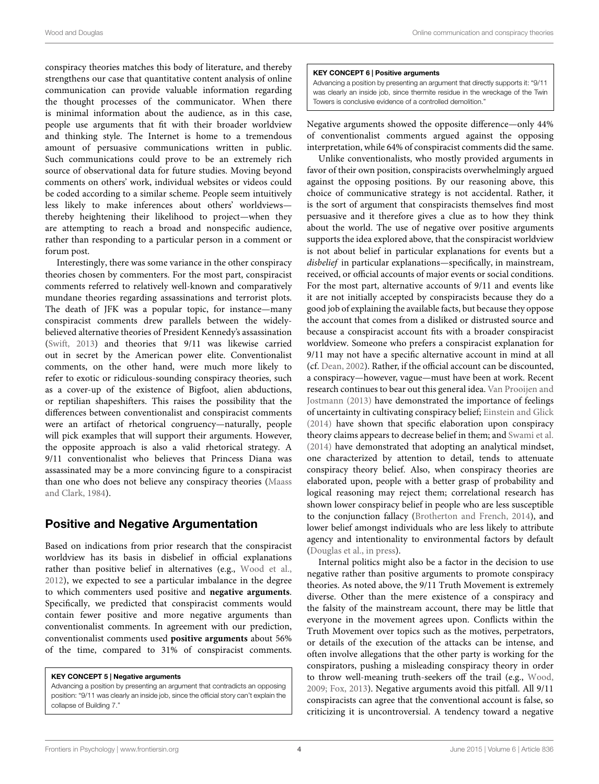Wood and Douglas **Conserverse Conserverse and Conserverse Conserverse Conserverse Conserverse Conserverse Conserverse Conserverse Conserverse Conserverse Conserverse Conserverse Conserverse Conserverse Conserverse Conserve** 

conspiracy theories matches this body of literature, and thereby strengthens our case that quantitative content analysis of online communication can provide valuable information regarding the thought processes of the communicator. When there is minimal information about the audience, as in this case, people use arguments that fit with their broader worldview and thinking style. The Internet is home to a tremendous amount of persuasive communications written in public. Such communications could prove to be an extremely rich source of observational data for future studies. Moving beyond comments on others' work, individual websites or videos could be coded according to a similar scheme. People seem intuitively less likely to make inferences about others' worldviews thereby heightening their likelihood to project—when they are attempting to reach a broad and nonspecific audience, rather than responding to a particular person in a comment or forum post.

Interestingly, there was some variance in the other conspiracy theories chosen by commenters. For the most part, conspiracist comments referred to relatively well-known and comparatively mundane theories regarding assassinations and terrorist plots. The death of JFK was a popular topic, for instance—many conspiracist comments drew parallels between the widelybelieved alternative theories of President Kennedy's assassination [\(Swift, 2013\)](#page-7-7) and theories that 9/11 was likewise carried out in secret by the American power elite. Conventionalist comments, on the other hand, were much more likely to refer to exotic or ridiculous-sounding conspiracy theories, such as a cover-up of the existence of Bigfoot, alien abductions, or reptilian shapeshifters. This raises the possibility that the differences between conventionalist and conspiracist comments were an artifact of rhetorical congruency—naturally, people will pick examples that will support their arguments. However, the opposite approach is also a valid rhetorical strategy. A 9/11 conventionalist who believes that Princess Diana was assassinated may be a more convincing figure to a conspiracist than one who does not believe any conspiracy theories (Maass and Clark, [1984\)](#page-7-24).

# Positive and Negative Argumentation

Based on indications from prior research that the conspiracist worldview has its basis in disbelief in official explanations rather than positive belief in alternatives (e.g., [Wood et al.,](#page-7-5) [2012\)](#page-7-5), we expected to see a particular imbalance in the degree to which commenters used positive and **negative arguments**. Specifically, we predicted that conspiracist comments would contain fewer positive and more negative arguments than conventionalist comments. In agreement with our prediction, conventionalist comments used **positive arguments** about 56% of the time, compared to 31% of conspiracist comments.

#### KEY CONCEPT 5 | Negative arguments

Advancing a position by presenting an argument that contradicts an opposing position: "9/11 was clearly an inside job, since the official story can't explain the collapse of Building 7."

#### KEY CONCEPT 6 | Positive arguments

Advancing a position by presenting an argument that directly supports it: "9/11 was clearly an inside job, since thermite residue in the wreckage of the Twin Towers is conclusive evidence of a controlled demolition."

Negative arguments showed the opposite difference—only 44% of conventionalist comments argued against the opposing interpretation, while 64% of conspiracist comments did the same.

Unlike conventionalists, who mostly provided arguments in favor of their own position, conspiracists overwhelmingly argued against the opposing positions. By our reasoning above, this choice of communicative strategy is not accidental. Rather, it is the sort of argument that conspiracists themselves find most persuasive and it therefore gives a clue as to how they think about the world. The use of negative over positive arguments supports the idea explored above, that the conspiracist worldview is not about belief in particular explanations for events but a disbelief in particular explanations—specifically, in mainstream, received, or official accounts of major events or social conditions. For the most part, alternative accounts of 9/11 and events like it are not initially accepted by conspiracists because they do a good job of explaining the available facts, but because they oppose the account that comes from a disliked or distrusted source and because a conspiracist account fits with a broader conspiracist worldview. Someone who prefers a conspiracist explanation for 9/11 may not have a specific alternative account in mind at all (cf. [Dean, 2002\)](#page-6-11). Rather, if the official account can be discounted, a conspiracy—however, vague—must have been at work. Recent research continues to bear out this general idea. Van Prooijen and Jostmann [\(2013\)](#page-7-25) have demonstrated the importance of feelings of uncertainty in cultivating conspiracy belief; [Einstein and Glick](#page-6-12) [\(2014\)](#page-6-12) have shown that specific elaboration upon conspiracy theory claims appears to decrease belief in them; and [Swami et al.](#page-7-26) [\(2014\)](#page-7-26) have demonstrated that adopting an analytical mindset, one characterized by attention to detail, tends to attenuate conspiracy theory belief. Also, when conspiracy theories are elaborated upon, people with a better grasp of probability and logical reasoning may reject them; correlational research has shown lower conspiracy belief in people who are less susceptible to the conjunction fallacy [\(Brotherton and French, 2014\)](#page-6-13), and lower belief amongst individuals who are less likely to attribute agency and intentionality to environmental factors by default [\(Douglas et al., in press\)](#page-6-8).

Internal politics might also be a factor in the decision to use negative rather than positive arguments to promote conspiracy theories. As noted above, the 9/11 Truth Movement is extremely diverse. Other than the mere existence of a conspiracy and the falsity of the mainstream account, there may be little that everyone in the movement agrees upon. Conflicts within the Truth Movement over topics such as the motives, perpetrators, or details of the execution of the attacks can be intense, and often involve allegations that the other party is working for the conspirators, pushing a misleading conspiracy theory in order to throw well-meaning truth-seekers off the trail (e.g., [Wood,](#page-7-27) [2009;](#page-7-27) [Fox, 2013\)](#page-6-14). Negative arguments avoid this pitfall. All 9/11 conspiracists can agree that the conventional account is false, so criticizing it is uncontroversial. A tendency toward a negative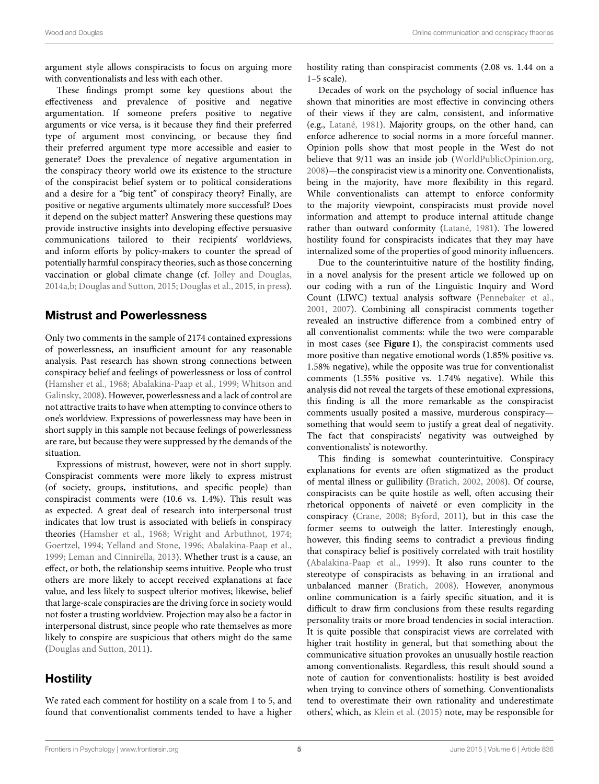argument style allows conspiracists to focus on arguing more with conventionalists and less with each other.

These findings prompt some key questions about the effectiveness and prevalence of positive and negative argumentation. If someone prefers positive to negative arguments or vice versa, is it because they find their preferred type of argument most convincing, or because they find their preferred argument type more accessible and easier to generate? Does the prevalence of negative argumentation in the conspiracy theory world owe its existence to the structure of the conspiracist belief system or to political considerations and a desire for a "big tent" of conspiracy theory? Finally, are positive or negative arguments ultimately more successful? Does it depend on the subject matter? Answering these questions may provide instructive insights into developing effective persuasive communications tailored to their recipients' worldviews, and inform efforts by policy-makers to counter the spread of potentially harmful conspiracy theories, such as those concerning vaccination or global climate change (cf. [Jolley and Douglas,](#page-6-15) [2014a](#page-6-15)[,b;](#page-6-16) [Douglas and Sutton, 2015;](#page-6-17) [Douglas et al., 2015,](#page-6-18) [in press\)](#page-6-8).

## <span id="page-5-0"></span>Mistrust and Powerlessness

Only two comments in the sample of 2174 contained expressions of powerlessness, an insufficient amount for any reasonable analysis. Past research has shown strong connections between conspiracy belief and feelings of powerlessness or loss of control [\(Hamsher et al., 1968;](#page-6-19) [Abalakina-Paap et al., 1999;](#page-6-9) Whitson and Galinsky, [2008\)](#page-7-28). However, powerlessness and a lack of control are not attractive traits to have when attempting to convince others to one's worldview. Expressions of powerlessness may have been in short supply in this sample not because feelings of powerlessness are rare, but because they were suppressed by the demands of the situation.

Expressions of mistrust, however, were not in short supply. Conspiracist comments were more likely to express mistrust (of society, groups, institutions, and specific people) than conspiracist comments were (10.6 vs. 1.4%). This result was as expected. A great deal of research into interpersonal trust indicates that low trust is associated with beliefs in conspiracy theories [\(Hamsher et al., 1968;](#page-6-19) [Wright and Arbuthnot, 1974;](#page-7-29) [Goertzel, 1994;](#page-6-5) [Yelland and Stone, 1996;](#page-7-30) [Abalakina-Paap et al.,](#page-6-9) [1999;](#page-6-9) [Leman and Cinnirella, 2013\)](#page-7-31). Whether trust is a cause, an effect, or both, the relationship seems intuitive. People who trust others are more likely to accept received explanations at face value, and less likely to suspect ulterior motives; likewise, belief that large-scale conspiracies are the driving force in society would not foster a trusting worldview. Projection may also be a factor in interpersonal distrust, since people who rate themselves as more likely to conspire are suspicious that others might do the same [\(Douglas and Sutton, 2011\)](#page-6-3).

# **Hostility**

We rated each comment for hostility on a scale from 1 to 5, and found that conventionalist comments tended to have a higher hostility rating than conspiracist comments (2.08 vs. 1.44 on a 1–5 scale).

Decades of work on the psychology of social influence has shown that minorities are most effective in convincing others of their views if they are calm, consistent, and informative (e.g., [Latané, 1981\)](#page-7-32). Majority groups, on the other hand, can enforce adherence to social norms in a more forceful manner. Opinion polls show that most people in the West do not believe that 9/11 was an inside job [\(WorldPublicOpinion.org,](#page-7-33) [2008\)](#page-7-33)—the conspiracist view is a minority one. Conventionalists, being in the majority, have more flexibility in this regard. While conventionalists can attempt to enforce conformity to the majority viewpoint, conspiracists must provide novel information and attempt to produce internal attitude change rather than outward conformity [\(Latané, 1981\)](#page-7-32). The lowered hostility found for conspiracists indicates that they may have internalized some of the properties of good minority influencers.

Due to the counterintuitive nature of the hostility finding, in a novel analysis for the present article we followed up on our coding with a run of the Linguistic Inquiry and Word Count (LIWC) textual analysis software [\(Pennebaker et al.,](#page-7-34) [2001,](#page-7-34) [2007\)](#page-7-35). Combining all conspiracist comments together revealed an instructive difference from a combined entry of all conventionalist comments: while the two were comparable in most cases (see **[Figure 1](#page-5-0)**), the conspiracist comments used more positive than negative emotional words (1.85% positive vs. 1.58% negative), while the opposite was true for conventionalist comments (1.55% positive vs. 1.74% negative). While this analysis did not reveal the targets of these emotional expressions, this finding is all the more remarkable as the conspiracist comments usually posited a massive, murderous conspiracy something that would seem to justify a great deal of negativity. The fact that conspiracists' negativity was outweighed by conventionalists' is noteworthy.

This finding is somewhat counterintuitive. Conspiracy explanations for events are often stigmatized as the product of mental illness or gullibility [\(Bratich, 2002,](#page-6-20) [2008\)](#page-6-21). Of course, conspiracists can be quite hostile as well, often accusing their rhetorical opponents of naiveté or even complicity in the conspiracy [\(Crane, 2008;](#page-6-22) [Byford, 2011\)](#page-6-1), but in this case the former seems to outweigh the latter. Interestingly enough, however, this finding seems to contradict a previous finding that conspiracy belief is positively correlated with trait hostility [\(Abalakina-Paap et al., 1999\)](#page-6-9). It also runs counter to the stereotype of conspiracists as behaving in an irrational and unbalanced manner [\(Bratich, 2008\)](#page-6-21). However, anonymous online communication is a fairly specific situation, and it is difficult to draw firm conclusions from these results regarding personality traits or more broad tendencies in social interaction. It is quite possible that conspiracist views are correlated with higher trait hostility in general, but that something about the communicative situation provokes an unusually hostile reaction among conventionalists. Regardless, this result should sound a note of caution for conventionalists: hostility is best avoided when trying to convince others of something. Conventionalists tend to overestimate their own rationality and underestimate others', which, as [Klein et al. \(2015\)](#page-7-0) note, may be responsible for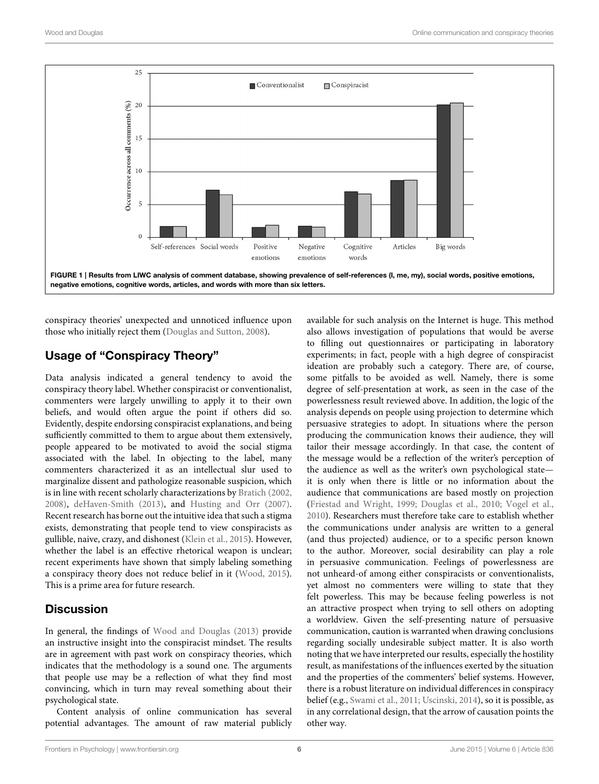

conspiracy theories' unexpected and unnoticed influence upon those who initially reject them [\(Douglas and Sutton, 2008\)](#page-6-23).

# <span id="page-6-9"></span>Usage of "Conspiracy Theory"

<span id="page-6-21"></span><span id="page-6-20"></span><span id="page-6-13"></span><span id="page-6-7"></span><span id="page-6-1"></span>Data analysis indicated a general tendency to avoid the conspiracy theory label. Whether conspiracist or conventionalist, commenters were largely unwilling to apply it to their own beliefs, and would often argue the point if others did so. Evidently, despite endorsing conspiracist explanations, and being sufficiently committed to them to argue about them extensively, people appeared to be motivated to avoid the social stigma associated with the label. In objecting to the label, many commenters characterized it as an intellectual slur used to marginalize dissent and pathologize reasonable suspicion, which is in line with recent scholarly characterizations by [Bratich \(2002,](#page-6-20) [2008\)](#page-6-21), [deHaven-Smith \(2013\)](#page-6-24), and [Husting and Orr \(2007\)](#page-6-25). Recent research has borne out the intuitive idea that such a stigma exists, demonstrating that people tend to view conspiracists as gullible, naive, crazy, and dishonest [\(Klein et al., 2015\)](#page-7-0). However, whether the label is an effective rhetorical weapon is unclear; recent experiments have shown that simply labeling something a conspiracy theory does not reduce belief in it [\(Wood, 2015\)](#page-7-36). This is a prime area for future research.

# <span id="page-6-24"></span><span id="page-6-23"></span><span id="page-6-22"></span><span id="page-6-11"></span><span id="page-6-4"></span><span id="page-6-2"></span><span id="page-6-0"></span>**Discussion**

<span id="page-6-25"></span><span id="page-6-17"></span><span id="page-6-15"></span><span id="page-6-3"></span>In general, the findings of [Wood and Douglas \(2013\)](#page-7-2) provide an instructive insight into the conspiracist mindset. The results are in agreement with past work on conspiracy theories, which indicates that the methodology is a sound one. The arguments that people use may be a reflection of what they find most convincing, which in turn may reveal something about their psychological state.

<span id="page-6-16"></span><span id="page-6-8"></span>Content analysis of online communication has several potential advantages. The amount of raw material publicly <span id="page-6-27"></span><span id="page-6-26"></span><span id="page-6-19"></span><span id="page-6-18"></span><span id="page-6-14"></span><span id="page-6-12"></span><span id="page-6-10"></span><span id="page-6-6"></span><span id="page-6-5"></span>available for such analysis on the Internet is huge. This method also allows investigation of populations that would be averse to filling out questionnaires or participating in laboratory experiments; in fact, people with a high degree of conspiracist ideation are probably such a category. There are, of course, some pitfalls to be avoided as well. Namely, there is some degree of self-presentation at work, as seen in the case of the powerlessness result reviewed above. In addition, the logic of the analysis depends on people using projection to determine which persuasive strategies to adopt. In situations where the person producing the communication knows their audience, they will tailor their message accordingly. In that case, the content of the message would be a reflection of the writer's perception of the audience as well as the writer's own psychological state it is only when there is little or no information about the audience that communications are based mostly on projection [\(Friestad and Wright, 1999;](#page-6-26) [Douglas et al., 2010;](#page-6-27) [Vogel et al.,](#page-7-37) [2010\)](#page-7-37). Researchers must therefore take care to establish whether the communications under analysis are written to a general (and thus projected) audience, or to a specific person known to the author. Moreover, social desirability can play a role in persuasive communication. Feelings of powerlessness are not unheard-of among either conspiracists or conventionalists, yet almost no commenters were willing to state that they felt powerless. This may be because feeling powerless is not an attractive prospect when trying to sell others on adopting a worldview. Given the self-presenting nature of persuasive communication, caution is warranted when drawing conclusions regarding socially undesirable subject matter. It is also worth noting that we have interpreted our results, especially the hostility result, as manifestations of the influences exerted by the situation and the properties of the commenters' belief systems. However, there is a robust literature on individual differences in conspiracy belief (e.g., [Swami et al., 2011;](#page-7-10) [Uscinski, 2014\)](#page-7-38), so it is possible, as in any correlational design, that the arrow of causation points the other way.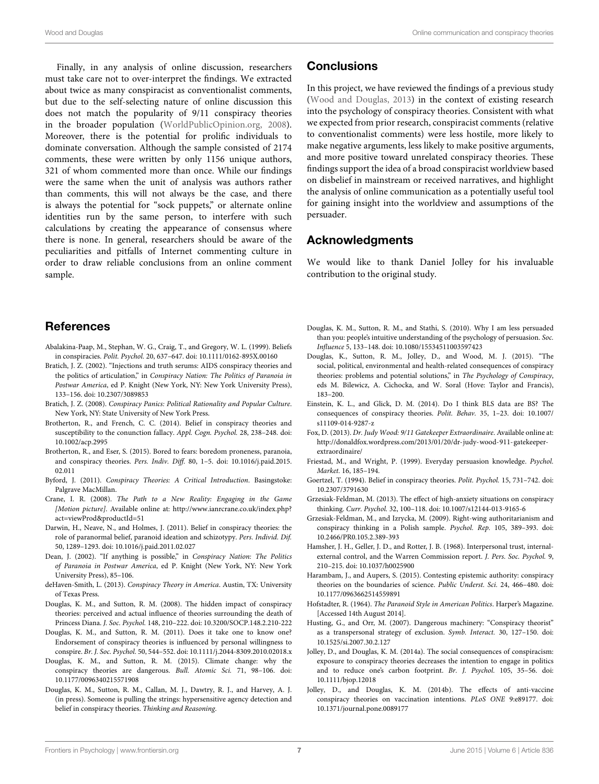<span id="page-7-32"></span><span id="page-7-19"></span><span id="page-7-15"></span><span id="page-7-12"></span><span id="page-7-0"></span>Finally, in any analysis of online discussion, researchers must take care not to over-interpret the findings. We extracted about twice as many conspiracist as conventionalist comments, but due to the self-selecting nature of online discussion this does not match the popularity of 9/11 conspiracy theories in the broader population [\(WorldPublicOpinion.org, 2008\)](#page-7-33). Moreover, there is the potential for prolific individuals to dominate conversation. Although the sample consisted of 2174 comments, these were written by only 1156 unique authors, 321 of whom commented more than once. While our findings were the same when the unit of analysis was authors rather than comments, this will not always be the case, and there is always the potential for "sock puppets," or alternate online identities run by the same person, to interfere with such calculations by creating the appearance of consensus where there is none. In general, researchers should be aware of the peculiarities and pitfalls of Internet commenting culture in order to draw reliable conclusions from an online comment sample.

## <span id="page-7-31"></span><span id="page-7-24"></span><span id="page-7-22"></span><span id="page-7-18"></span><span id="page-7-6"></span>References

- <span id="page-7-4"></span>Abalakina-Paap, M., Stephan, W. G., Craig, T., and Gregory, W. L. (1999). Beliefs in conspiracies. Polit. Psychol. 20, 637–647. doi: 10.1111/0162-895X.00160
- <span id="page-7-13"></span>Bratich, J. Z. (2002). "Injections and truth serums: AIDS conspiracy theories and the politics of articulation," in Conspiracy Nation: The Politics of Paranoia in Postwar America, ed P. Knight (New York, NY: New York University Press), 133–156. doi: 10.2307/3089853
- <span id="page-7-34"></span>Bratich, J. Z. (2008). Conspiracy Panics: Political Rationality and Popular Culture. New York, NY: State University of New York Press.
- <span id="page-7-35"></span>Brotherton, R., and French, C. C. (2014). Belief in conspiracy theories and susceptibility to the conunction fallacy. Appl. Cogn. Psychol. 28, 238–248. doi: 10.1002/acp.2995
- <span id="page-7-23"></span>Brotherton, R., and Eser, S. (2015). Bored to fears: boredom proneness, paranoia, and conspiracy theories. Pers. Indiv. Diff. 80, 1–5. doi: 10.1016/j.paid.2015. 02.011
- Byford, J. (2011). Conspiracy Theories: A Critical Introduction. Basingstoke: Palgrave MacMillan.
- <span id="page-7-3"></span>Crane, I. R. (2008). The Path to a New Reality: Engaging in the Game [Motion picture]. Available online at: [http://www.ianrcrane.co.uk/index.php?](http://www.ianrcrane.co.uk/index.php?act=viewProd&productId=51) [act=viewProd&productId=51](http://www.ianrcrane.co.uk/index.php?act=viewProd&productId=51)
- <span id="page-7-1"></span>Darwin, H., Neave, N., and Holmes, J. (2011). Belief in conspiracy theories: the role of paranormal belief, paranoid ideation and schizotypy. Pers. Individ. Dif. 50, 1289–1293. doi: 10.1016/j.paid.2011.02.027
- <span id="page-7-8"></span>Dean, J. (2002). "If anything is possible," in Conspiracy Nation: The Politics of Paranoia in Postwar America, ed P. Knight (New York, NY: New York University Press), 85–106.
- <span id="page-7-21"></span>deHaven-Smith, L. (2013). Conspiracy Theory in America. Austin, TX: University of Texas Press.
- Douglas, K. M., and Sutton, R. M. (2008). The hidden impact of conspiracy theories: perceived and actual influence of theories surrounding the death of Princess Diana. J. Soc. Psychol. 148, 210–222. doi: 10.3200/SOCP.148.2.210-222
- <span id="page-7-11"></span>Douglas, K. M., and Sutton, R. M. (2011). Does it take one to know one? Endorsement of conspiracy theories is influenced by personal willingness to conspire. Br. J. Soc. Psychol. 50, 544–552. doi: 10.1111/j.2044-8309.2010.02018.x
- <span id="page-7-20"></span>Douglas, K. M., and Sutton, R. M. (2015). Climate change: why the conspiracy theories are dangerous. Bull. Atomic Sci. 71, 98–106. doi: 10.1177/0096340215571908
- Douglas, K. M., Sutton, R. M., Callan, M. J., Dawtry, R. J., and Harvey, A. J. (in press). Someone is pulling the strings: hypersensitive agency detection and belief in conspiracy theories. Thinking and Reasoning.

## <span id="page-7-9"></span>**Conclusions**

<span id="page-7-17"></span><span id="page-7-10"></span>In this project, we have reviewed the findings of a previous study [\(Wood and Douglas, 2013\)](#page-7-2) in the context of existing research into the psychology of conspiracy theories. Consistent with what we expected from prior research, conspiracist comments (relative to conventionalist comments) were less hostile, more likely to make negative arguments, less likely to make positive arguments, and more positive toward unrelated conspiracy theories. These findings support the idea of a broad conspiracist worldview based on disbelief in mainstream or received narratives, and highlight the analysis of online communication as a potentially useful tool for gaining insight into the worldview and assumptions of the persuader.

## <span id="page-7-38"></span><span id="page-7-26"></span><span id="page-7-7"></span>Acknowledgments

<span id="page-7-16"></span>We would like to thank Daniel Jolley for his invaluable contribution to the original study.

- <span id="page-7-25"></span><span id="page-7-14"></span>Douglas, K. M., Sutton, R. M., and Stathi, S. (2010). Why I am less persuaded than you: people's intuitive understanding of the psychology of persuasion. Soc. Influence 5, 133–148. doi: 10.1080/15534511003597423
- <span id="page-7-37"></span>Douglas, K., Sutton, R. M., Jolley, D., and Wood, M. J. (2015). "The social, political, environmental and health-related consequences of conspiracy theories: problems and potential solutions," in The Psychology of Conspiracy, eds M. Bilewicz, A. Cichocka, and W. Soral (Hove: Taylor and Francis), 183–200.
- <span id="page-7-28"></span><span id="page-7-27"></span>Einstein, K. L., and Glick, D. M. (2014). Do I think BLS data are BS? The consequences of conspiracy theories. Polit. Behav. 35, 1–23. doi: 10.1007/ s11109-014-9287-z
- <span id="page-7-36"></span>Fox, D. (2013). Dr. Judy Wood: 9/11 Gatekeeper Extraordinaire. Available online at: [http://donaldfox.wordpress.com/2013/01/20/dr-judy-wood-911-gatekeeper](http://donaldfox.wordpress.com/2013/01/20/dr-judy-wood-911-gatekeeper-extraordinaire/)[extraordinaire/](http://donaldfox.wordpress.com/2013/01/20/dr-judy-wood-911-gatekeeper-extraordinaire/)
- <span id="page-7-2"></span>Friestad, M., and Wright, P. (1999). Everyday persuasion knowledge. Psychol. Market. 16, 185–194.
- <span id="page-7-5"></span>Goertzel, T. (1994). Belief in conspiracy theories. Polit. Psychol. 15, 731–742. doi: 10.2307/3791630
- Grzesiak-Feldman, M. (2013). The effect of high-anxiety situations on conspiracy thinking. Curr. Psychol. 32, 100–118. doi: 10.1007/s12144-013-9165-6
- <span id="page-7-33"></span>Grzesiak-Feldman, M., and Izrycka, M. (2009). Right-wing authoritarianism and conspiracy thinking in a Polish sample. Psychol. Rep. 105, 389–393. doi: 10.2466/PR0.105.2.389-393
- <span id="page-7-29"></span>Hamsher, J. H., Geller, J. D., and Rotter, J. B. (1968). Interpersonal trust, internalexternal control, and the Warren Commission report. J. Pers. Soc. Psychol. 9, 210–215. doi: 10.1037/h0025900
- <span id="page-7-30"></span>Harambam, J., and Aupers, S. (2015). Contesting epistemic authority: conspiracy theories on the boundaries of science. Public Underst. Sci. 24, 466–480. doi: 10.1177/0963662514559891
- Hofstadter, R. (1964). The Paranoid Style in American Politics. Harper's Magazine. [Accessed 14th August 2014].
- Husting, G., and Orr, M. (2007). Dangerous machinery: "Conspiracy theorist" as a transpersonal strategy of exclusion. Symb. Interact. 30, 127–150. doi: 10.1525/si.2007.30.2.127
- Jolley, D., and Douglas, K. M. (2014a). The social consequences of conspiracism: exposure to conspiracy theories decreases the intention to engage in politics and to reduce one's carbon footprint. Br. J. Psychol. 105, 35–56. doi: 10.1111/bjop.12018
- Jolley, D., and Douglas, K. M. (2014b). The effects of anti-vaccine conspiracy theories on vaccination intentions. PLoS ONE 9:e89177. doi: 10.1371/journal.pone.0089177